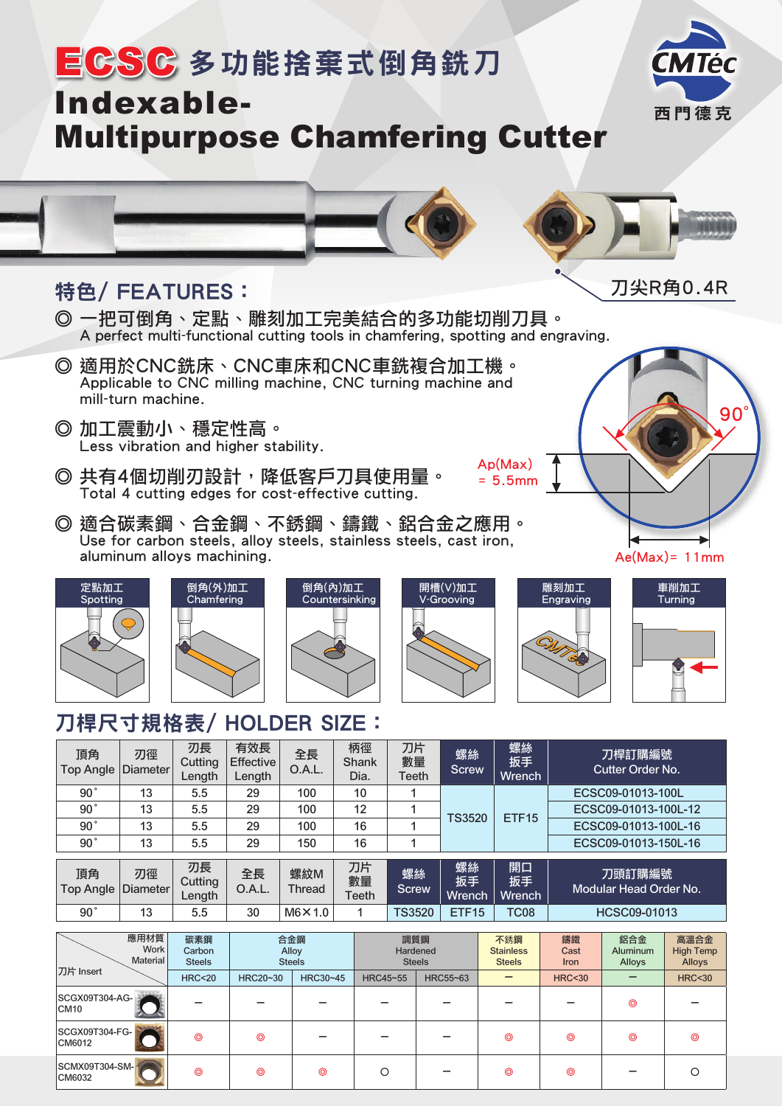

## 刀桿尺寸規格表/ HOLDER SIZE:

|                        | 應用材質<br>$M$ ork       | 碳素鋼<br>$\sim$ $\sim$    |                                   | 合金鋼<br>$\sim$ 11 $\sim$ |                     | 調質鋼<br>$\cdots$ $\cdots$ |                    | 不銹鋼<br>.                  | 鋁合金<br>鑄鐵<br>$\mathbf{A}$<br>$\sim$ $\sim$ |                                   | 高溫合金<br>$\cdots$ $\cdots$ |  |
|------------------------|-----------------------|-------------------------|-----------------------------------|-------------------------|---------------------|--------------------------|--------------------|---------------------------|--------------------------------------------|-----------------------------------|---------------------------|--|
| 90°                    | 13                    | 5.5                     | 30                                | $M6 \times 1.0$         | 1                   | <b>TS3520</b>            | <b>ETF15</b>       | <b>TC08</b>               |                                            | HCSC09-01013                      |                           |  |
| 頂角<br><b>Top Angle</b> | 刃徑<br><b>Diameter</b> | 刃長<br>Cutting<br>Length | 全長<br>O.A.L.                      | 螺紋M<br>Thread           | 刀片<br>數量<br>Teeth   | 螺絲<br><b>Screw</b>       | 螺絲<br>扳手<br>Wrench | 開口<br>扳手<br>Wrench        |                                            | 刀頭訂購編號<br>Modular Head Order No.  |                           |  |
| 90°                    | 13                    | 5.5                     | 29                                | 150                     | 16                  | 4                        |                    |                           |                                            | ECSC09-01013-150L-16              |                           |  |
| 90°                    | 13                    | 5.5                     | 29                                | 100                     | 16                  | ◢                        | <b>TS3520</b>      |                           |                                            | ECSC09-01013-100L-16              |                           |  |
| 90°                    | 13                    | 5.5                     | 29                                | 100                     | 12                  | 4                        |                    | ETF <sub>15</sub>         |                                            | ECSC09-01013-100L-12              |                           |  |
| 90°                    | 13                    | 5.5                     | 29                                | 100                     | 10                  |                          |                    |                           |                                            | ECSC09-01013-100L                 |                           |  |
| 頂角<br><b>Top Angle</b> | 刃徑<br><b>Diameter</b> | 刃長<br>Cutting<br>Length | 有效長<br><b>Effective</b><br>Length | 全長<br>O.A.L.            | 柄徑<br>Shank<br>Dia. | 刀片<br>數量<br>Teeth        | 螺絲<br><b>Screw</b> | 螺絲<br>扳手<br><b>Wrench</b> |                                            | 刀桿訂購編號<br><b>Cutter Order No.</b> |                           |  |

| 應用材買<br><b>Work</b><br>Material    | 碳素鋼<br>Carbon<br><b>Steels</b> | 台金鋼<br>Alloy<br><b>Steels</b> |                | 調質鋼<br>Hardened<br><b>Steels</b> |          | 不銹鋼<br><b>Stainless</b><br><b>Steels</b> | 鑄鐵<br>Cast<br><b>Iron</b> | 鋁合金<br><b>Aluminum</b><br>Alloys | 高溫合金<br><b>High Temp</b><br>Alloys |
|------------------------------------|--------------------------------|-------------------------------|----------------|----------------------------------|----------|------------------------------------------|---------------------------|----------------------------------|------------------------------------|
| 刀片 Insert                          | <b>HRC&lt;20</b>               | HRC20~30                      | HRC30~45       | HRC45~55                         | HRC55~63 | -                                        | <b>HRC&lt;30</b>          |                                  | <b>HRC&lt;30</b>                   |
| SCGX09T304-AG-<br>CM <sub>10</sub> |                                |                               |                |                                  |          |                                          |                           | $\circledcirc$                   |                                    |
| SCGX09T304-FG-<br>CM6012           | ⊚                              | ⊚                             |                |                                  |          | $\circledcirc$                           | $\circledcirc$            | $\circledcirc$                   | ⊚                                  |
| SCMX09T304-SM-<br>CM6032           | $\circledcirc$                 | $\circledcirc$                | $\circledcirc$ |                                  |          | $\circledcirc$                           | $\circledcirc$            |                                  |                                    |